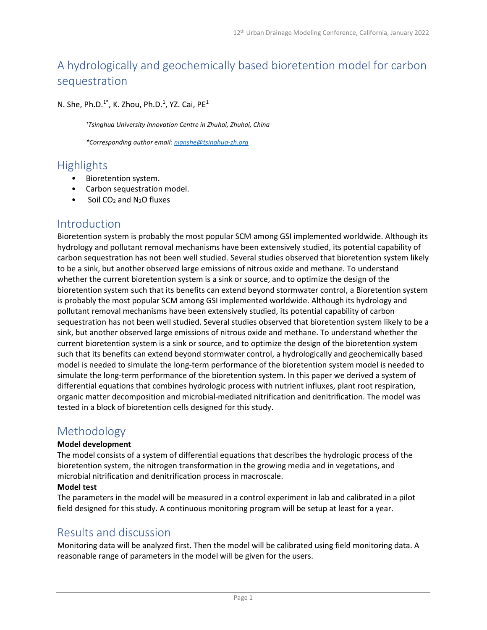# A hydrologically and geochemically based bioretention model for carbon sequestration

N. She, Ph.D. $1^*$ , K. Zhou, Ph.D.<sup>1</sup>, YZ. Cai, PE<sup>1</sup>

<sup>1</sup>Tsinghua University Innovation Centre in Zhuhai, Zhuhai, China

\*Corresponding author email: nianshe@tsinghua-zh.org

## Highlights

- Bioretention system.
- Carbon sequestration model.
- Soil CO<sub>2</sub> and N<sub>2</sub>O fluxes

### Introduction

Bioretention system is probably the most popular SCM among GSI implemented worldwide. Although its hydrology and pollutant removal mechanisms have been extensively studied, its potential capability of carbon sequestration has not been well studied. Several studies observed that bioretention system likely to be a sink, but another observed large emissions of nitrous oxide and methane. To understand whether the current bioretention system is a sink or source, and to optimize the design of the bioretention system such that its benefits can extend beyond stormwater control, a Bioretention system is probably the most popular SCM among GSI implemented worldwide. Although its hydrology and pollutant removal mechanisms have been extensively studied, its potential capability of carbon sequestration has not been well studied. Several studies observed that bioretention system likely to be a sink, but another observed large emissions of nitrous oxide and methane. To understand whether the current bioretention system is a sink or source, and to optimize the design of the bioretention system such that its benefits can extend beyond stormwater control, a hydrologically and geochemically based model is needed to simulate the long-term performance of the bioretention system model is needed to simulate the long-term performance of the bioretention system. In this paper we derived a system of differential equations that combines hydrologic process with nutrient influxes, plant root respiration, organic matter decomposition and microbial-mediated nitrification and denitrification. The model was tested in a block of bioretention cells designed for this study.

### Methodology

#### Model development

The model consists of a system of differential equations that describes the hydrologic process of the bioretention system, the nitrogen transformation in the growing media and in vegetations, and microbial nitrification and denitrification process in macroscale.

#### Model test

The parameters in the model will be measured in a control experiment in lab and calibrated in a pilot field designed for this study. A continuous monitoring program will be setup at least for a year.

### Results and discussion

Monitoring data will be analyzed first. Then the model will be calibrated using field monitoring data. A reasonable range of parameters in the model will be given for the users.